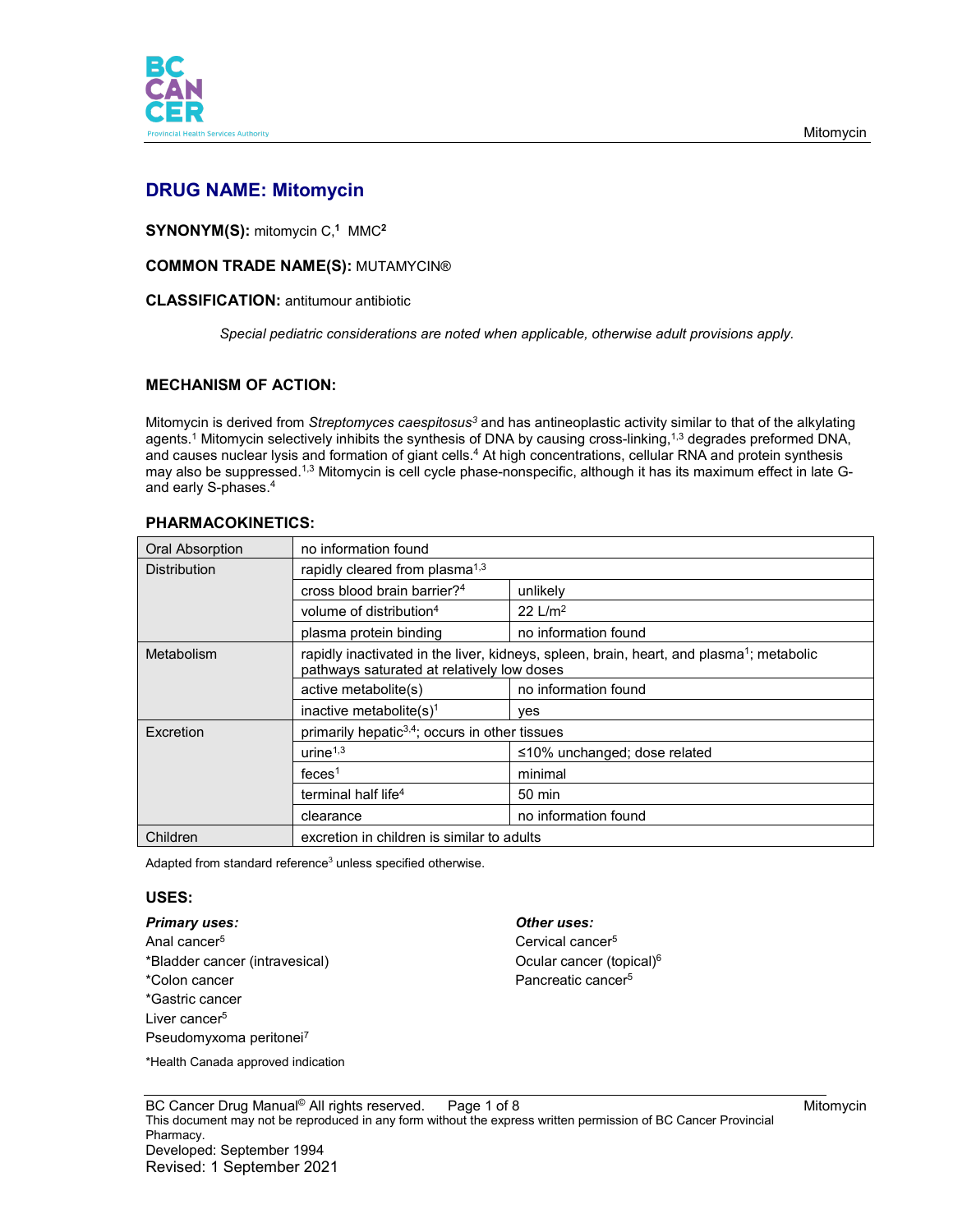

# **DRUG NAME: Mitomycin**

**SYNONYM(S):** mitomycin C, **<sup>1</sup>** MMC**<sup>2</sup>**

#### **COMMON TRADE NAME(S):** MUTAMYCIN®

#### **CLASSIFICATION:** antitumour antibiotic

*Special pediatric considerations are noted when applicable, otherwise adult provisions apply.*

## **MECHANISM OF ACTION:**

Mitomycin is derived from *Streptomyces caespitosus3* and has antineoplastic activity similar to that of the alkylating agents. $1$  Mitomycin selectively inhibits the synthesis of DNA by causing cross-linking, $^{1,3}$  degrades preformed DNA, and causes nuclear lysis and formation of giant cells.<sup>4</sup> At high concentrations, cellular RNA and protein synthesis may also be suppressed.<sup>1,3</sup> Mitomycin is cell cycle phase-nonspecific, although it has its maximum effect in late Gand early S-phases. 4

| <b>Oral Absorption</b> | no information found                                                                                                                               |                                    |  |
|------------------------|----------------------------------------------------------------------------------------------------------------------------------------------------|------------------------------------|--|
| <b>Distribution</b>    | rapidly cleared from plasma <sup>1,3</sup>                                                                                                         |                                    |  |
|                        | cross blood brain barrier? <sup>4</sup>                                                                                                            | unlikely                           |  |
|                        | volume of distribution <sup>4</sup>                                                                                                                | 22 $L/m2$                          |  |
|                        | plasma protein binding                                                                                                                             | no information found               |  |
| Metabolism             | rapidly inactivated in the liver, kidneys, spleen, brain, heart, and plasma <sup>1</sup> ; metabolic<br>pathways saturated at relatively low doses |                                    |  |
|                        | active metabolite(s)                                                                                                                               | no information found               |  |
|                        | inactive metabolite $(s)^1$                                                                                                                        | yes                                |  |
| Excretion              | primarily hepatic <sup>3,4</sup> ; occurs in other tissues                                                                                         |                                    |  |
|                        | urine $1,3$                                                                                                                                        | $\leq$ 10% unchanged; dose related |  |
|                        | feces <sup>1</sup>                                                                                                                                 | minimal                            |  |
|                        | terminal half life <sup>4</sup>                                                                                                                    | 50 min                             |  |
|                        | clearance                                                                                                                                          | no information found               |  |
| Children               | excretion in children is similar to adults                                                                                                         |                                    |  |

Adapted from standard reference<sup>3</sup> unless specified otherwise.

## **USES:**

#### *Primary uses: Other uses:*

Anal cancer<sup>5</sup> Cervical cancer<sup>5</sup> \*Bladder cancer (intravesical) and the control of Coular cancer (topical)<sup>6</sup> \*Colon cancer **Pancreatic cancer**<sup>5</sup> \*Gastric cancer Liver cancer<sup>5</sup> Pseudomyxoma peritonei7

#### \*Health Canada approved indication

BC Cancer Drug Manual<sup>®</sup> All rights reserved. Page 1 of 8 Mitomycin and the Mitomycin This document may not be reproduced in any form without the express written permission of BC Cancer Provincial Pharmacy. Developed: September 1994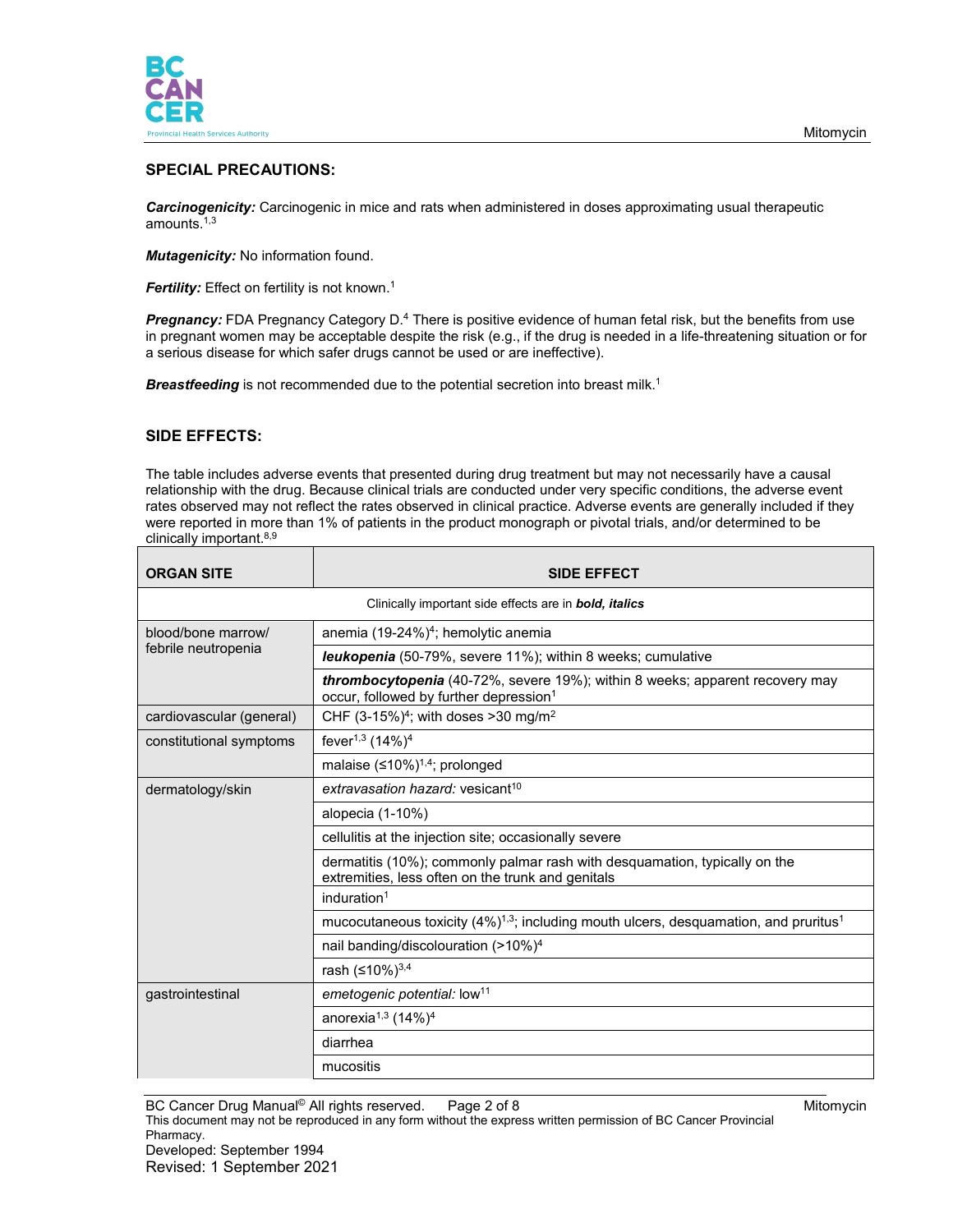

# **SPECIAL PRECAUTIONS:**

*Carcinogenicity:* Carcinogenic in mice and rats when administered in doses approximating usual therapeutic amounts. 1,3

*Mutagenicity:* No information found.

*Fertility:* Effect on fertility is not known.<sup>1</sup>

*Pregnancy:* FDA Pregnancy Category D.4 There is positive evidence of human fetal risk, but the benefits from use in pregnant women may be acceptable despite the risk (e.g., if the drug is needed in a life-threatening situation or for a serious disease for which safer drugs cannot be used or are ineffective).

**Breastfeeding** is not recommended due to the potential secretion into breast milk.<sup>1</sup>

## **SIDE EFFECTS:**

The table includes adverse events that presented during drug treatment but may not necessarily have a causal relationship with the drug. Because clinical trials are conducted under very specific conditions, the adverse event rates observed may not reflect the rates observed in clinical practice. Adverse events are generally included if they were reported in more than 1% of patients in the product monograph or pivotal trials, and/or determined to be clinically important. 8,9

| <b>ORGAN SITE</b>                                                     | <b>SIDE EFFECT</b>                                                                                                                 |  |  |
|-----------------------------------------------------------------------|------------------------------------------------------------------------------------------------------------------------------------|--|--|
| Clinically important side effects are in <b>bold</b> , <i>italics</i> |                                                                                                                                    |  |  |
| blood/bone marrow/<br>febrile neutropenia                             | anemia (19-24%) <sup>4</sup> ; hemolytic anemia                                                                                    |  |  |
|                                                                       | <b>leukopenia</b> (50-79%, severe 11%); within 8 weeks; cumulative                                                                 |  |  |
|                                                                       | thrombocytopenia (40-72%, severe 19%); within 8 weeks; apparent recovery may<br>occur, followed by further depression <sup>1</sup> |  |  |
| cardiovascular (general)                                              | CHF $(3-15%)^4$ ; with doses > 30 mg/m <sup>2</sup>                                                                                |  |  |
| constitutional symptoms                                               | fever <sup>1,3</sup> (14%) <sup>4</sup>                                                                                            |  |  |
|                                                                       | malaise $(≤10%)^{1,4}$ ; prolonged                                                                                                 |  |  |
| dermatology/skin                                                      | extravasation hazard: vesicant <sup>10</sup>                                                                                       |  |  |
|                                                                       | alopecia (1-10%)                                                                                                                   |  |  |
|                                                                       | cellulitis at the injection site; occasionally severe                                                                              |  |  |
|                                                                       | dermatitis (10%); commonly palmar rash with desquamation, typically on the<br>extremities, less often on the trunk and genitals    |  |  |
|                                                                       | induration $1$                                                                                                                     |  |  |
|                                                                       | mucocutaneous toxicity (4%) <sup>1,3</sup> ; including mouth ulcers, desquamation, and pruritus <sup>1</sup>                       |  |  |
|                                                                       | nail banding/discolouration (>10%) <sup>4</sup>                                                                                    |  |  |
|                                                                       | rash (≤10%) <sup>3,4</sup>                                                                                                         |  |  |
| gastrointestinal                                                      | emetogenic potential: low <sup>11</sup>                                                                                            |  |  |
|                                                                       | anorexia <sup>1,3</sup> (14%) <sup>4</sup>                                                                                         |  |  |
|                                                                       | diarrhea                                                                                                                           |  |  |
|                                                                       | mucositis                                                                                                                          |  |  |

BC Cancer Drug Manual<sup>®</sup> All rights reserved. Page 2 of 8 Mitomycin and Mitomycin

This document may not be reproduced in any form without the express written permission of BC Cancer Provincial Pharmacy. Developed: September 1994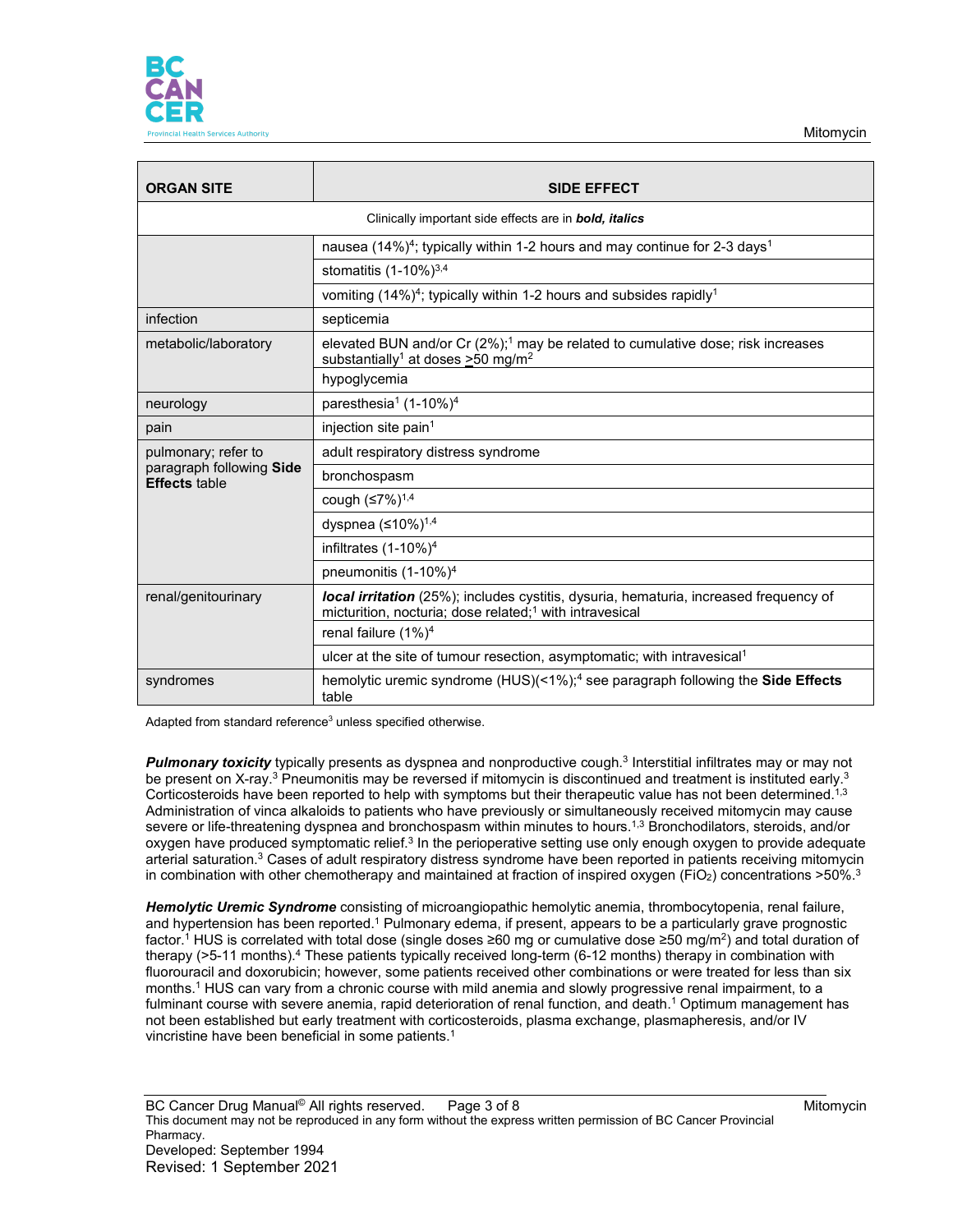

| <b>ORGAN SITE</b>                                                     | <b>SIDE EFFECT</b>                                                                                                                                             |  |  |
|-----------------------------------------------------------------------|----------------------------------------------------------------------------------------------------------------------------------------------------------------|--|--|
| Clinically important side effects are in <b>bold</b> , <i>italics</i> |                                                                                                                                                                |  |  |
|                                                                       | nausea (14%) <sup>4</sup> ; typically within 1-2 hours and may continue for 2-3 days <sup>1</sup><br>stomatitis $(1-10\%)^{3,4}$                               |  |  |
|                                                                       |                                                                                                                                                                |  |  |
|                                                                       | vomiting (14%) <sup>4</sup> ; typically within 1-2 hours and subsides rapidly <sup>1</sup>                                                                     |  |  |
| infection                                                             | septicemia                                                                                                                                                     |  |  |
| metabolic/laboratory                                                  | elevated BUN and/or Cr (2%); <sup>1</sup> may be related to cumulative dose; risk increases<br>substantially <sup>1</sup> at doses $\geq$ 50 mg/m <sup>2</sup> |  |  |
|                                                                       | hypoglycemia                                                                                                                                                   |  |  |
| neurology                                                             | paresthesia <sup>1</sup> (1-10%) <sup>4</sup>                                                                                                                  |  |  |
| pain                                                                  | injection site pain <sup>1</sup>                                                                                                                               |  |  |
| pulmonary; refer to                                                   | adult respiratory distress syndrome                                                                                                                            |  |  |
| paragraph following Side<br><b>Effects</b> table                      | bronchospasm                                                                                                                                                   |  |  |
|                                                                       | cough (≤7%) <sup>1,4</sup>                                                                                                                                     |  |  |
|                                                                       | dyspnea $(≤10%)$ <sup>1,4</sup>                                                                                                                                |  |  |
|                                                                       | infiltrates $(1-10\%)^4$                                                                                                                                       |  |  |
|                                                                       | pneumonitis (1-10%) <sup>4</sup>                                                                                                                               |  |  |
| renal/genitourinary                                                   | local irritation (25%); includes cystitis, dysuria, hematuria, increased frequency of<br>micturition, nocturia; dose related; <sup>1</sup> with intravesical   |  |  |
|                                                                       | renal failure $(1\%)^4$                                                                                                                                        |  |  |
|                                                                       | ulcer at the site of tumour resection, asymptomatic; with intravesical <sup>1</sup>                                                                            |  |  |
| syndromes                                                             | hemolytic uremic syndrome (HUS)(<1%); <sup>4</sup> see paragraph following the Side Effects<br>table                                                           |  |  |

Adapted from standard reference<sup>3</sup> unless specified otherwise.

*Pulmonary toxicity* typically presents as dyspnea and nonproductive cough. <sup>3</sup> Interstitial infiltrates may or may not be present on X-ray.<sup>3</sup> Pneumonitis may be reversed if mitomycin is discontinued and treatment is instituted early.<sup>3</sup> Corticosteroids have been reported to help with symptoms but their therapeutic value has not been determined.<sup>1,3</sup> Administration of vinca alkaloids to patients who have previously or simultaneously received mitomycin may cause severe or life-threatening dyspnea and bronchospasm within minutes to hours.<sup>1,3</sup> Bronchodilators, steroids, and/or oxygen have produced symptomatic relief.<sup>3</sup> In the perioperative setting use only enough oxygen to provide adequate arterial saturation.<sup>3</sup> Cases of adult respiratory distress syndrome have been reported in patients receiving mitomycin in combination with other chemotherapy and maintained at fraction of inspired oxygen (FiO<sub>2</sub>) concentrations >50%.<sup>3</sup>

*Hemolytic Uremic Syndrome* consisting of microangiopathic hemolytic anemia, thrombocytopenia, renal failure, and hypertension has been reported.<sup>1</sup> Pulmonary edema, if present, appears to be a particularly grave prognostic factor.<sup>1</sup> HUS is correlated with total dose (single doses ≥60 mg or cumulative dose ≥50 mg/m<sup>2</sup>) and total duration of therapy (>5-11 months).4 These patients typically received long-term (6-12 months) therapy in combination with fluorouracil and doxorubicin; however, some patients received other combinations or were treated for less than six months.1 HUS can vary from a chronic course with mild anemia and slowly progressive renal impairment, to a fulminant course with severe anemia, rapid deterioration of renal function, and death.<sup>1</sup> Optimum management has not been established but early treatment with corticosteroids, plasma exchange, plasmapheresis, and/or IV vincristine have been beneficial in some patients.<sup>1</sup>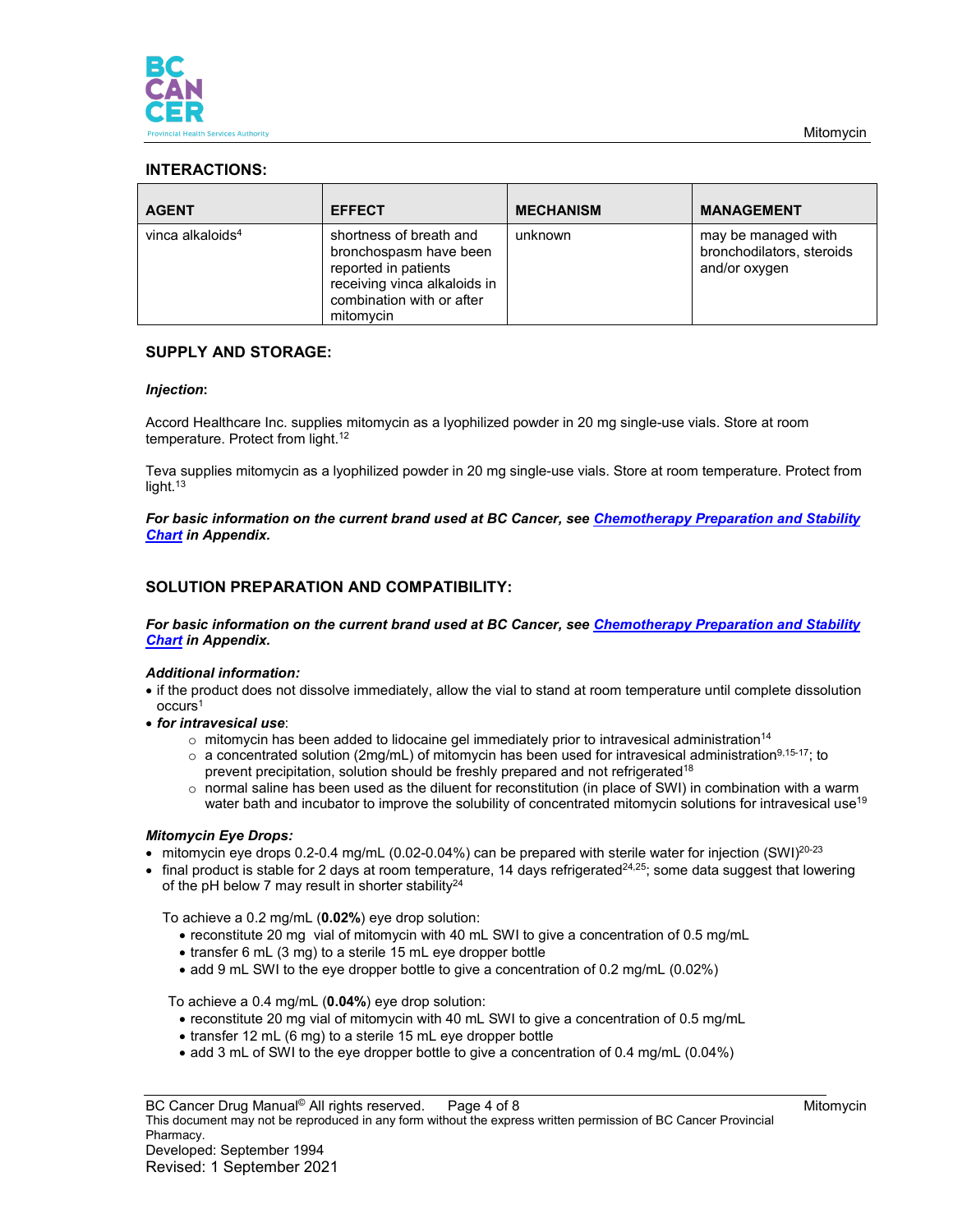

# **INTERACTIONS:**

| <b>AGENT</b>                 | <b>EFFECT</b>                                                                                                                                       | <b>MECHANISM</b> | <b>MANAGEMENT</b>                                                 |
|------------------------------|-----------------------------------------------------------------------------------------------------------------------------------------------------|------------------|-------------------------------------------------------------------|
| vinca alkaloids <sup>4</sup> | shortness of breath and<br>bronchospasm have been<br>reported in patients<br>receiving vinca alkaloids in<br>combination with or after<br>mitomycin | unknown          | may be managed with<br>bronchodilators, steroids<br>and/or oxygen |

# **SUPPLY AND STORAGE:**

#### *Injection***:**

Accord Healthcare Inc. supplies mitomycin as a lyophilized powder in 20 mg single-use vials. Store at room temperature. Protect from light.<sup>12</sup>

Teva supplies mitomycin as a lyophilized powder in 20 mg single-use vials. Store at room temperature. Protect from light.<sup>13</sup>

*For basic information on the current brand used at BC Cancer, see [Chemotherapy Preparation and Stability](http://www.bccancer.bc.ca/health-professionals/clinical-resources/cancer-drug-manual)  [Chart](http://www.bccancer.bc.ca/health-professionals/clinical-resources/cancer-drug-manual) in Appendix.*

# **SOLUTION PREPARATION AND COMPATIBILITY:**

*For basic information on the current brand used at BC Cancer, see [Chemotherapy Preparation and Stability](http://www.bccancer.bc.ca/health-professionals/clinical-resources/cancer-drug-manual)  [Chart](http://www.bccancer.bc.ca/health-professionals/clinical-resources/cancer-drug-manual) in Appendix.*

#### *Additional information:*

- if the product does not dissolve immediately, allow the vial to stand at room temperature until complete dissolution occurs1
- *for intravesical use*:
	- $\circ$  mitomycin has been added to lidocaine gel immediately prior to intravesical administration<sup>14</sup>
	- $\circ$  a concentrated solution (2mg/mL) of mitomycin has been used for intravesical administration<sup>9,15-17</sup>; to prevent precipitation, solution should be freshly prepared and not refrigerated<sup>18</sup>
	- o normal saline has been used as the diluent for reconstitution (in place of SWI) in combination with a warm water bath and incubator to improve the solubility of concentrated mitomycin solutions for intravesical use<sup>19</sup>

## *Mitomycin Eye Drops:*

- $\bullet$  mitomycin eye drops 0.2-0.4 mg/mL (0.02-0.04%) can be prepared with sterile water for injection (SWI)<sup>20-23</sup>
- final product is stable for 2 days at room temperature, 14 days refrigerated<sup>24,25</sup>; some data suggest that lowering of the pH below 7 may result in shorter stability<sup>24</sup>

To achieve a 0.2 mg/mL (**0.02%**) eye drop solution:

- reconstitute 20 mg vial of mitomycin with 40 mL SWI to give a concentration of 0.5 mg/mL
- transfer 6 mL (3 mg) to a sterile 15 mL eye dropper bottle
- add 9 mL SWI to the eye dropper bottle to give a concentration of 0.2 mg/mL (0.02%)

To achieve a 0.4 mg/mL (**0.04%**) eye drop solution:

- reconstitute 20 mg vial of mitomycin with 40 mL SWI to give a concentration of 0.5 mg/mL
- transfer 12 mL (6 mg) to a sterile 15 mL eye dropper bottle
- add 3 mL of SWI to the eye dropper bottle to give a concentration of 0.4 mg/mL (0.04%)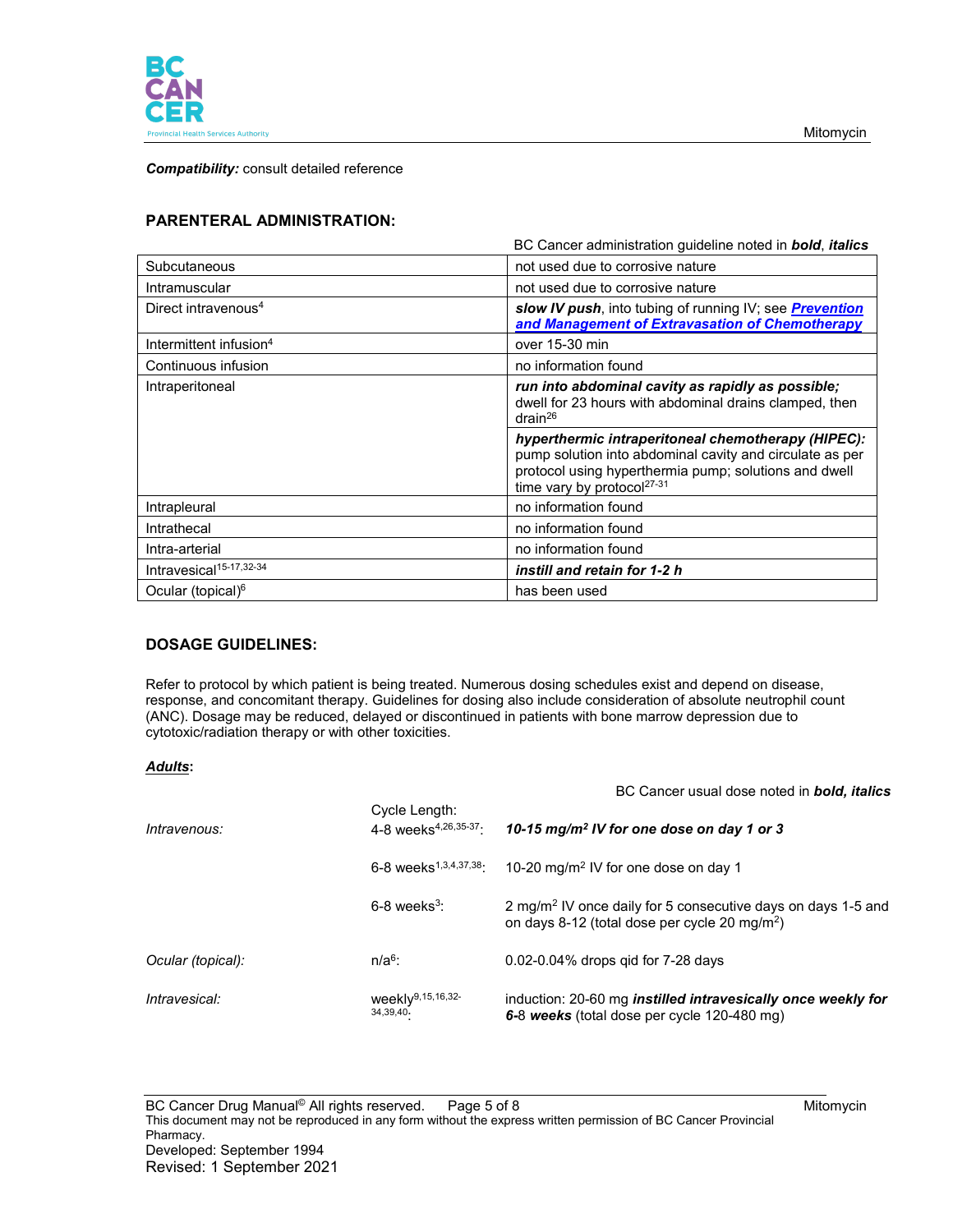

Mitomycin

*Compatibility:* consult detailed reference

# **PARENTERAL ADMINISTRATION:**

|                                     | BC Cancer administration quideline noted in <b>bold</b> , <i>italics</i>                                                                                                                                          |  |
|-------------------------------------|-------------------------------------------------------------------------------------------------------------------------------------------------------------------------------------------------------------------|--|
| Subcutaneous                        | not used due to corrosive nature                                                                                                                                                                                  |  |
| Intramuscular                       | not used due to corrosive nature                                                                                                                                                                                  |  |
| Direct intravenous <sup>4</sup>     | slow IV push, into tubing of running IV; see <b>Prevention</b><br>and Management of Extravasation of Chemotherapy                                                                                                 |  |
| Intermittent infusion <sup>4</sup>  | over 15-30 min                                                                                                                                                                                                    |  |
| Continuous infusion                 | no information found                                                                                                                                                                                              |  |
| Intraperitoneal                     | run into abdominal cavity as rapidly as possible;<br>dwell for 23 hours with abdominal drains clamped, then<br>drain <sup>26</sup>                                                                                |  |
|                                     | hyperthermic intraperitoneal chemotherapy (HIPEC):<br>pump solution into abdominal cavity and circulate as per<br>protocol using hyperthermia pump; solutions and dwell<br>time vary by protocol <sup>27-31</sup> |  |
| Intrapleural                        | no information found                                                                                                                                                                                              |  |
| Intrathecal                         | no information found                                                                                                                                                                                              |  |
| Intra-arterial                      | no information found                                                                                                                                                                                              |  |
| Intravesical <sup>15-17,32-34</sup> | instill and retain for 1-2 h                                                                                                                                                                                      |  |
| Ocular (topical) <sup>6</sup>       | has been used                                                                                                                                                                                                     |  |

## **DOSAGE GUIDELINES:**

Refer to protocol by which patient is being treated. Numerous dosing schedules exist and depend on disease, response, and concomitant therapy. Guidelines for dosing also include consideration of absolute neutrophil count (ANC). Dosage may be reduced, delayed or discontinued in patients with bone marrow depression due to cytotoxic/radiation therapy or with other toxicities.

## *Adults***:**

| Intravenous:      | Cycle Length:<br>4-8 weeks <sup>4,26,35-37</sup> : | 10-15 mg/m <sup>2</sup> IV for one dose on day 1 or 3                                                                                 |
|-------------------|----------------------------------------------------|---------------------------------------------------------------------------------------------------------------------------------------|
|                   | $6-8$ weeks <sup>1,3,4,37,38</sup>                 | 10-20 mg/m <sup>2</sup> IV for one dose on day 1                                                                                      |
|                   | $6-8$ weeks <sup>3</sup> :                         | 2 mg/m <sup>2</sup> IV once daily for 5 consecutive days on days 1-5 and<br>on days 8-12 (total dose per cycle 20 mg/m <sup>2</sup> ) |
| Ocular (topical): | $n/a6$ :                                           | $0.02 - 0.04\%$ drops gid for 7-28 days                                                                                               |
| Intravesical:     | weekly <sup>9,15,16,32-</sup><br>34,39,40          | induction: 20-60 mg <i>instilled intravesically once weekly for</i><br>6-8 weeks (total dose per cycle 120-480 mg)                    |

BC Cancer usual dose noted in *bold, italics*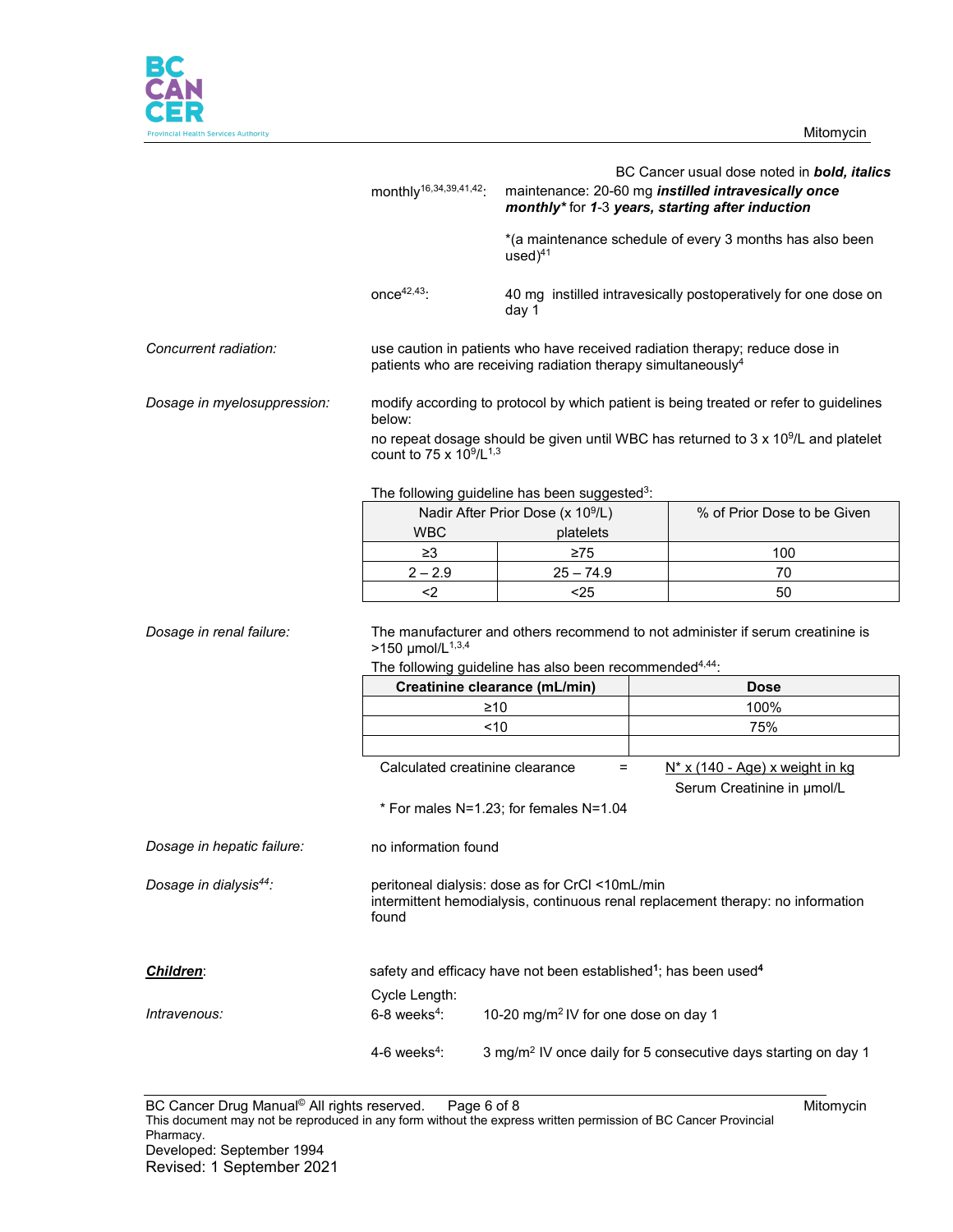

|                                    | monthly <sup>16,34,39,41,42</sup> :                                                                                                                                                                                                                  |                                                           | BC Cancer usual dose noted in bold, italics<br>maintenance: 20-60 mg instilled intravesically once<br>monthly* for 1-3 years, starting after induction<br>*(a maintenance schedule of every 3 months has also been |  |
|------------------------------------|------------------------------------------------------------------------------------------------------------------------------------------------------------------------------------------------------------------------------------------------------|-----------------------------------------------------------|--------------------------------------------------------------------------------------------------------------------------------------------------------------------------------------------------------------------|--|
|                                    | $once^{42,43}$ :                                                                                                                                                                                                                                     | $used)^{41}$<br>day 1                                     | 40 mg instilled intravesically postoperatively for one dose on                                                                                                                                                     |  |
| Concurrent radiation:              | use caution in patients who have received radiation therapy; reduce dose in<br>patients who are receiving radiation therapy simultaneously <sup>4</sup>                                                                                              |                                                           |                                                                                                                                                                                                                    |  |
| Dosage in myelosuppression:        | modify according to protocol by which patient is being treated or refer to guidelines<br>below:<br>no repeat dosage should be given until WBC has returned to 3 x 10 <sup>9</sup> /L and platelet<br>count to 75 x 10 <sup>9</sup> /L <sup>1,3</sup> |                                                           |                                                                                                                                                                                                                    |  |
|                                    |                                                                                                                                                                                                                                                      | The following guideline has been suggested <sup>3</sup> : |                                                                                                                                                                                                                    |  |
|                                    |                                                                                                                                                                                                                                                      | Nadir After Prior Dose (x 10 <sup>9</sup> /L)             | % of Prior Dose to be Given                                                                                                                                                                                        |  |
|                                    | <b>WBC</b>                                                                                                                                                                                                                                           | platelets                                                 |                                                                                                                                                                                                                    |  |
|                                    | $\geq 3$                                                                                                                                                                                                                                             | $\geq 75$                                                 | 100                                                                                                                                                                                                                |  |
|                                    | $2 - 2.9$                                                                                                                                                                                                                                            | $25 - 74.9$                                               | 70                                                                                                                                                                                                                 |  |
|                                    | $2$                                                                                                                                                                                                                                                  | $25$                                                      | 50                                                                                                                                                                                                                 |  |
| Dosage in renal failure:           | The manufacturer and others recommend to not administer if serum creatinine is<br>>150 $\mu$ mol/L <sup>1,3,4</sup>                                                                                                                                  |                                                           |                                                                                                                                                                                                                    |  |
|                                    | The following guideline has also been recommended <sup>4,44</sup> :<br>Creatinine clearance (mL/min)                                                                                                                                                 |                                                           |                                                                                                                                                                                                                    |  |
|                                    |                                                                                                                                                                                                                                                      | $\geq 10$                                                 | <b>Dose</b>                                                                                                                                                                                                        |  |
|                                    |                                                                                                                                                                                                                                                      |                                                           | 100%                                                                                                                                                                                                               |  |
|                                    |                                                                                                                                                                                                                                                      | <10                                                       | 75%                                                                                                                                                                                                                |  |
|                                    | Calculated creatinine clearance<br>$N^*$ x (140 - Age) x weight in kg<br>=<br>Serum Creatinine in µmol/L                                                                                                                                             |                                                           |                                                                                                                                                                                                                    |  |
|                                    | * For males N=1.23; for females N=1.04                                                                                                                                                                                                               |                                                           |                                                                                                                                                                                                                    |  |
| Dosage in hepatic failure:         | no information found                                                                                                                                                                                                                                 |                                                           |                                                                                                                                                                                                                    |  |
| Dosage in dialysis <sup>44</sup> : | peritoneal dialysis: dose as for CrCl <10mL/min<br>intermittent hemodialysis, continuous renal replacement therapy: no information<br>found                                                                                                          |                                                           |                                                                                                                                                                                                                    |  |
| <b>Children:</b>                   | safety and efficacy have not been established <sup>1</sup> ; has been used <sup>4</sup>                                                                                                                                                              |                                                           |                                                                                                                                                                                                                    |  |
|                                    | Cycle Length:                                                                                                                                                                                                                                        |                                                           |                                                                                                                                                                                                                    |  |
| Intravenous:                       | $6-8$ weeks <sup>4</sup> :                                                                                                                                                                                                                           | 10-20 mg/m <sup>2</sup> IV for one dose on day 1          |                                                                                                                                                                                                                    |  |
|                                    | 4-6 weeks $4$ :                                                                                                                                                                                                                                      |                                                           | 3 mg/m <sup>2</sup> IV once daily for 5 consecutive days starting on day 1                                                                                                                                         |  |

BC Cancer Drug Manual<sup>©</sup> All rights reserved. Page 6 of 8 Mitomycin This document may not be reproduced in any form without the express written permission of BC Cancer Provincial Pharmacy. Developed: September 1994 Revised: 1 September 2021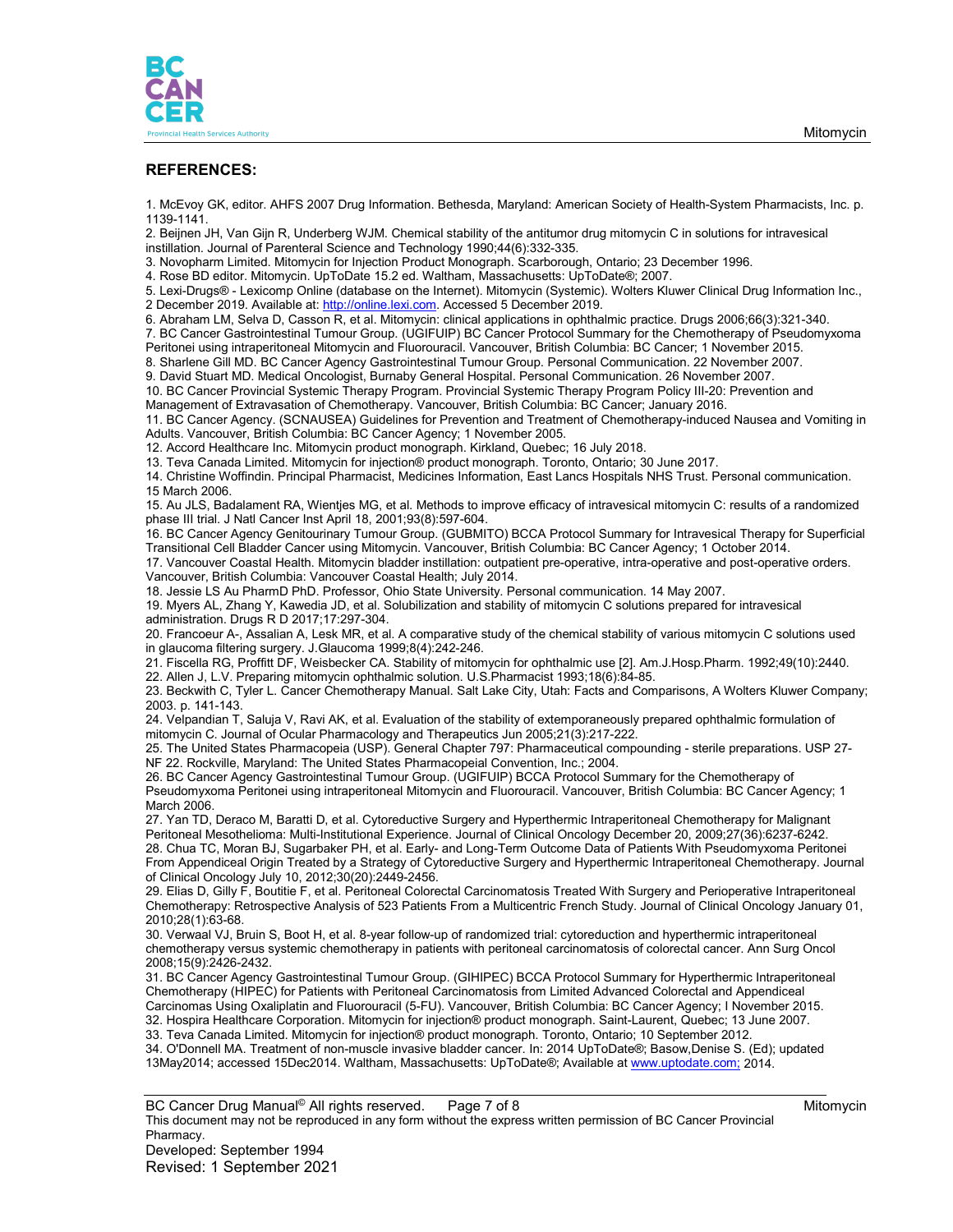

#### **REFERENCES:**

1. McEvoy GK, editor. AHFS 2007 Drug Information. Bethesda, Maryland: American Society of Health-System Pharmacists, Inc. p. 1139-1141.

2. Beijnen JH, Van Gijn R, Underberg WJM. Chemical stability of the antitumor drug mitomycin C in solutions for intravesical instillation. Journal of Parenteral Science and Technology 1990;44(6):332-335.

3. Novopharm Limited. Mitomycin for Injection Product Monograph. Scarborough, Ontario; 23 December 1996.

4. Rose BD editor. Mitomycin. UpToDate 15.2 ed. Waltham, Massachusetts: UpToDate®; 2007.

5. Lexi-Drugs® - Lexicomp Online (database on the Internet). Mitomycin (Systemic). Wolters Kluwer Clinical Drug Information Inc.,

2 December 2019. Available at[: http://online.lexi.com.](http://online.lexi.com/) Accessed 5 December 2019.

6. Abraham LM, Selva D, Casson R, et al. Mitomycin: clinical applications in ophthalmic practice. Drugs 2006;66(3):321-340.

7. BC Cancer Gastrointestinal Tumour Group. (UGIFUIP) BC Cancer Protocol Summary for the Chemotherapy of Pseudomyxoma Peritonei using intraperitoneal Mitomycin and Fluorouracil. Vancouver, British Columbia: BC Cancer; 1 November 2015.

8. Sharlene Gill MD. BC Cancer Agency Gastrointestinal Tumour Group. Personal Communication. 22 November 2007.

9. David Stuart MD. Medical Oncologist, Burnaby General Hospital. Personal Communication. 26 November 2007.

10. BC Cancer Provincial Systemic Therapy Program. Provincial Systemic Therapy Program Policy III-20: Prevention and Management of Extravasation of Chemotherapy. Vancouver, British Columbia: BC Cancer; January 2016.

11. BC Cancer Agency. (SCNAUSEA) Guidelines for Prevention and Treatment of Chemotherapy-induced Nausea and Vomiting in Adults. Vancouver, British Columbia: BC Cancer Agency; 1 November 2005.

12. Accord Healthcare Inc. Mitomycin product monograph. Kirkland, Quebec; 16 July 2018.

13. Teva Canada Limited. Mitomycin for injection® product monograph. Toronto, Ontario; 30 June 2017.

14. Christine Woffindin. Principal Pharmacist, Medicines Information, East Lancs Hospitals NHS Trust. Personal communication. 15 March 2006.

15. Au JLS, Badalament RA, Wientjes MG, et al. Methods to improve efficacy of intravesical mitomycin C: results of a randomized phase III trial. J Natl Cancer Inst April 18, 2001;93(8):597-604.

16. BC Cancer Agency Genitourinary Tumour Group. (GUBMITO) BCCA Protocol Summary for Intravesical Therapy for Superficial Transitional Cell Bladder Cancer using Mitomycin. Vancouver, British Columbia: BC Cancer Agency; 1 October 2014.

17. Vancouver Coastal Health. Mitomycin bladder instillation: outpatient pre-operative, intra-operative and post-operative orders. Vancouver, British Columbia: Vancouver Coastal Health; July 2014.

18. Jessie LS Au PharmD PhD. Professor, Ohio State University. Personal communication. 14 May 2007.

19. Myers AL, Zhang Y, Kawedia JD, et al. Solubilization and stability of mitomycin C solutions prepared for intravesical administration. Drugs R D 2017;17:297-304.

20. Francoeur A-, Assalian A, Lesk MR, et al. A comparative study of the chemical stability of various mitomycin C solutions used in glaucoma filtering surgery. J.Glaucoma 1999;8(4):242-246.

21. Fiscella RG, Proffitt DF, Weisbecker CA. Stability of mitomycin for ophthalmic use [2]. Am.J.Hosp.Pharm. 1992;49(10):2440. 22. Allen J, L.V. Preparing mitomycin ophthalmic solution. U.S.Pharmacist 1993;18(6):84-85.

23. Beckwith C, Tyler L. Cancer Chemotherapy Manual. Salt Lake City, Utah: Facts and Comparisons, A Wolters Kluwer Company; 2003. p. 141-143.

24. Velpandian T, Saluja V, Ravi AK, et al. Evaluation of the stability of extemporaneously prepared ophthalmic formulation of mitomycin C. Journal of Ocular Pharmacology and Therapeutics Jun 2005;21(3):217-222.

25. The United States Pharmacopeia (USP). General Chapter 797: Pharmaceutical compounding - sterile preparations. USP 27- NF 22. Rockville, Maryland: The United States Pharmacopeial Convention, Inc.; 2004.

26. BC Cancer Agency Gastrointestinal Tumour Group. (UGIFUIP) BCCA Protocol Summary for the Chemotherapy of Pseudomyxoma Peritonei using intraperitoneal Mitomycin and Fluorouracil. Vancouver, British Columbia: BC Cancer Agency; 1 March 2006.

27. Yan TD, Deraco M, Baratti D, et al. Cytoreductive Surgery and Hyperthermic Intraperitoneal Chemotherapy for Malignant Peritoneal Mesothelioma: Multi-Institutional Experience. Journal of Clinical Oncology December 20, 2009;27(36):6237-6242. 28. Chua TC, Moran BJ, Sugarbaker PH, et al. Early- and Long-Term Outcome Data of Patients With Pseudomyxoma Peritonei From Appendiceal Origin Treated by a Strategy of Cytoreductive Surgery and Hyperthermic Intraperitoneal Chemotherapy. Journal of Clinical Oncology July 10, 2012;30(20):2449-2456.

29. Elias D, Gilly F, Boutitie F, et al. Peritoneal Colorectal Carcinomatosis Treated With Surgery and Perioperative Intraperitoneal Chemotherapy: Retrospective Analysis of 523 Patients From a Multicentric French Study. Journal of Clinical Oncology January 01, 2010;28(1):63-68.

30. Verwaal VJ, Bruin S, Boot H, et al. 8-year follow-up of randomized trial: cytoreduction and hyperthermic intraperitoneal chemotherapy versus systemic chemotherapy in patients with peritoneal carcinomatosis of colorectal cancer. Ann Surg Oncol 2008;15(9):2426-2432.

31. BC Cancer Agency Gastrointestinal Tumour Group. (GIHIPEC) BCCA Protocol Summary for Hyperthermic Intraperitoneal Chemotherapy (HIPEC) for Patients with Peritoneal Carcinomatosis from Limited Advanced Colorectal and Appendiceal Carcinomas Using Oxaliplatin and Fluorouracil (5-FU). Vancouver, British Columbia: BC Cancer Agency; I November 2015. 32. Hospira Healthcare Corporation. Mitomycin for injection® product monograph. Saint-Laurent, Quebec; 13 June 2007.

33. Teva Canada Limited. Mitomycin for injection® product monograph. Toronto, Ontario; 10 September 2012. 34. O'Donnell MA. Treatment of non-muscle invasive bladder cancer. In: 2014 UpToDate®; Basow,Denise S. (Ed); updated 13May2014; accessed 15Dec2014. Waltham, Massachusetts: UpToDate®; Available a[t www.uptodate.com;](http://www.uptodate.com;/) 2014.